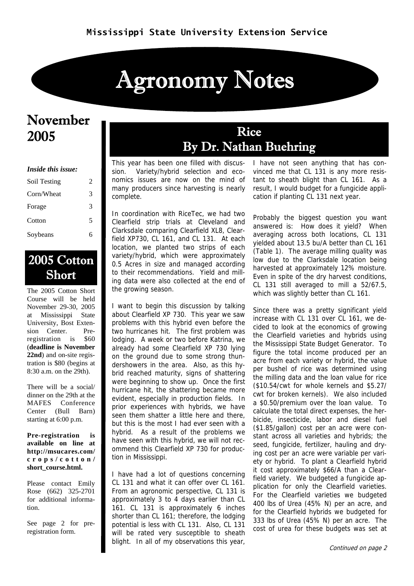# Agronomy Notes

### November 2005

#### *Inside this issue:*

| Soil Testing | 2 |
|--------------|---|
| Corn/Wheat   | 3 |
| Forage       | 3 |
| Cotton       | 5 |
| Soybeans     | 6 |

### 2005 Cotton Short

The 2005 Cotton Short Course will be held November 29-30, 2005 at Mississippi State University, Bost Extension Center. Preregistration is \$60 (**deadline is November 22nd**) and on-site registration is \$80 (begins at 8:30 a.m. on the 29th).

There will be a social/ dinner on the 29th at the MAFES Conference Center (Bull Barn) starting at 6:00 p.m.

**Pre-registration is available on line at http://msucares.com/ crops/cotton/ short\_course.html.** 

Please contact Emily Rose (662) 325-2701 for additional information.

See page 2 for preregistration form.

### Rice By Dr. Nathan Buehring

This year has been one filled with discussion. Variety/hybrid selection and economics issues are now on the mind of many producers since harvesting is nearly complete.

In coordination with RiceTec, we had two Clearfield strip trials at Cleveland and Clarksdale comparing Clearfield XL8, Clearfield XP730, CL 161, and CL 131. At each location, we planted two strips of each variety/hybrid, which were approximately 0.5 Acres in size and managed according to their recommendations. Yield and milling data were also collected at the end of the growing season.

I want to begin this discussion by talking about Clearfield XP 730. This year we saw problems with this hybrid even before the two hurricanes hit. The first problem was lodging. A week or two before Katrina, we already had some Clearfield XP 730 lying on the ground due to some strong thundershowers in the area. Also, as this hybrid reached maturity, signs of shattering were beginning to show up. Once the first hurricane hit, the shattering became more evident, especially in production fields. In prior experiences with hybrids, we have seen them shatter a little here and there, but this is the most I had ever seen with a hybrid. As a result of the problems we have seen with this hybrid, we will not recommend this Clearfield XP 730 for production in Mississippi.

I have had a lot of questions concerning CL 131 and what it can offer over CL 161. From an agronomic perspective, CL 131 is approximately 3 to 4 days earlier than CL 161. CL 131 is approximately 6 inches shorter than CL 161; therefore, the lodging potential is less with CL 131. Also, CL 131 will be rated very susceptible to sheath blight. In all of my observations this year,

I have not seen anything that has convinced me that CL 131 is any more resistant to sheath blight than CL 161. As a result, I would budget for a fungicide application if planting CL 131 next year.

Probably the biggest question you want answered is: How does it yield? When averaging across both locations, CL 131 yielded about 13.5 bu/A better than CL 161 (Table 1). The average milling quality was low due to the Clarksdale location being harvested at approximately 12% moisture. Even in spite of the dry harvest conditions, CL 131 still averaged to mill a 52/67.5, which was slightly better than CL 161.

Since there was a pretty significant yield increase with CL 131 over CL 161, we decided to look at the economics of growing the Clearfield varieties and hybrids using the Mississippi State Budget Generator. To figure the total income produced per an acre from each variety or hybrid, the value per bushel of rice was determined using the milling data and the loan value for rice (\$10.54/cwt for whole kernels and \$5.27/ cwt for broken kernels). We also included a \$0.50/premium over the loan value. To calculate the total direct expenses, the herbicide, insecticide, labor and diesel fuel (\$1.85/gallon) cost per an acre were constant across all varieties and hybrids; the seed, fungicide, fertilizer, hauling and drying cost per an acre were variable per variety or hybrid. To plant a Clearfield hybrid it cost approximately \$66/A than a Clearfield variety. We budgeted a fungicide application for only the Clearfield varieties. For the Clearfield varieties we budgeted 400 lbs of Urea (45% N) per an acre, and for the Clearfield hybrids we budgeted for 333 lbs of Urea (45% N) per an acre. The cost of urea for these budgets was set at

Continued on page 2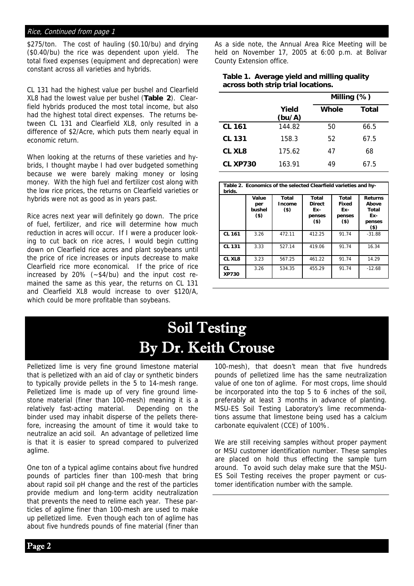#### Rice, Continued from page 1

\$275/ton. The cost of hauling (\$0.10/bu) and drying (\$0.40/bu) the rice was dependent upon yield. The total fixed expenses (equipment and deprecation) were constant across all varieties and hybrids.

CL 131 had the highest value per bushel and Clearfield XL8 had the lowest value per bushel (**Table 2**). Clearfield hybrids produced the most total income, but also had the highest total direct expenses. The returns between CL 131 and Clearfield XL8, only resulted in a difference of \$2/Acre, which puts them nearly equal in economic return.

When looking at the returns of these varieties and hybrids, I thought maybe I had over budgeted something because we were barely making money or losing money. With the high fuel and fertilizer cost along with the low rice prices, the returns on Clearfield varieties or hybrids were not as good as in years past.

Rice acres next year will definitely go down. The price of fuel, fertilizer, and rice will determine how much reduction in acres will occur. If I were a producer looking to cut back on rice acres, I would begin cutting down on Clearfield rice acres and plant soybeans until the price of rice increases or inputs decrease to make Clearfield rice more economical. If the price of rice increased by 20% (~\$4/bu) and the input cost remained the same as this year, the returns on CL 131 and Clearfield XL8 would increase to over \$120/A, which could be more profitable than soybeans.

As a side note, the Annual Area Rice Meeting will be held on November 17, 2005 at 6:00 p.m. at Bolivar County Extension office.

#### **Table 1. Average yield and milling quality across both strip trial locations.**

|                 |                 | Milling (%)  |       |
|-----------------|-----------------|--------------|-------|
|                 | Yield<br>(bu/A) | <b>Whole</b> | Total |
| <b>CL 161</b>   | 144.82          | 50           | 66.5  |
| <b>CL 131</b>   | 158.3           | 52           | 67.5  |
| CL XL8          | 175.62          | 47           | 68    |
| <b>CL XP730</b> | 163.91          | 49           | 67.5  |

| Table 2. Economics of the selected Clearfield varieties and hy-<br>brids. |                                   |                           |                                                   |                                           |                                                             |
|---------------------------------------------------------------------------|-----------------------------------|---------------------------|---------------------------------------------------|-------------------------------------------|-------------------------------------------------------------|
|                                                                           | Value<br>per<br>bushel<br>$($ \$) | Total<br>Income<br>$($ \$ | Total<br><b>Direct</b><br>Ex-<br>penses<br>$($ \$ | Total<br>Fixed<br>Ex-<br>penses<br>$($ \$ | <b>Returns</b><br>Above<br>Total<br>Ex-<br>penses<br>$($ \$ |
| <b>CL 161</b>                                                             | 3.26                              | 472.11                    | 412.25                                            | 91.74                                     | $-31.88$                                                    |
| <b>CL 131</b>                                                             | 3.33                              | 527.14                    | 419.06                                            | 91.74                                     | 16.34                                                       |
| CL XL8                                                                    | 3.23                              | 567.25                    | 461.22                                            | 91.74                                     | 14.29                                                       |
| CL<br><b>XP730</b>                                                        | 3.26                              | 534.35                    | 455.29                                            | 91.74                                     | $-12.68$                                                    |

## Soil Testing By Dr. Keith Crouse

Pelletized lime is very fine ground limestone material that is pelletized with an aid of clay or synthetic binders to typically provide pellets in the 5 to 14-mesh range. Pelletized lime is made up of very fine ground limestone material (finer than 100-mesh) meaning it is a relatively fast-acting material. Depending on the binder used may inhabit disperse of the pellets therefore, increasing the amount of time it would take to neutralize an acid soil. An advantage of pelletized lime is that it is easier to spread compared to pulverized aglime.

One ton of a typical aglime contains about five hundred pounds of particles finer than 100-mesh that bring about rapid soil pH change and the rest of the particles provide medium and long-term acidity neutralization that prevents the need to relime each year. These particles of aglime finer than 100-mesh are used to make up pelletized lime. Even though each ton of aglime has about five hundreds pounds of fine material (finer than

100-mesh), that doesn't mean that five hundreds pounds of pelletized lime has the same neutralization value of one ton of aglime. For most crops, lime should be incorporated into the top 5 to 6 inches of the soil, preferably at least 3 months in advance of planting. MSU-ES Soil Testing Laboratory's lime recommendations assume that limestone being used has a calcium carbonate equivalent (CCE) of 100%.

We are still receiving samples without proper payment or MSU customer identification number. These samples are placed on hold thus effecting the sample turn around. To avoid such delay make sure that the MSU-ES Soil Testing receives the proper payment or customer identification number with the sample.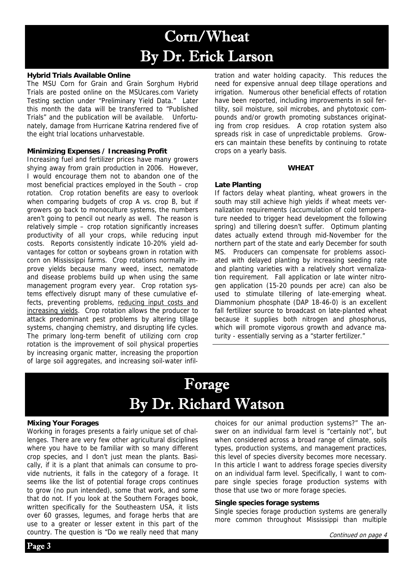# Corn/Wheat By Dr. Erick Larson

#### **Hybrid Trials Available Online**

The MSU Corn for Grain and Grain Sorghum Hybrid Trials are posted online on the MSUcares.com Variety Testing section under "Preliminary Yield Data." Later this month the data will be transferred to "Published Trials" and the publication will be available. Unfortunately, damage from Hurricane Katrina rendered five of the eight trial locations unharvestable.

#### **Minimizing Expenses / Increasing Profit**

Increasing fuel and fertilizer prices have many growers shying away from grain production in 2006. However, I would encourage them not to abandon one of the most beneficial practices employed in the South – crop rotation. Crop rotation benefits are easy to overlook when comparing budgets of crop A vs. crop B, but if growers go back to monoculture systems, the numbers aren't going to pencil out nearly as well. The reason is relatively simple – crop rotation significantly increases productivity of all your crops, while reducing input costs. Reports consistently indicate 10-20% yield advantages for cotton or soybeans grown in rotation with corn on Mississippi farms. Crop rotations normally improve yields because many weed, insect, nematode and disease problems build up when using the same management program every year. Crop rotation systems effectively disrupt many of these cumulative effects, preventing problems, reducing input costs and increasing yields. Crop rotation allows the producer to attack predominant pest problems by altering tillage systems, changing chemistry, and disrupting life cycles. The primary long-term benefit of utilizing corn crop rotation is the improvement of soil physical properties by increasing organic matter, increasing the proportion of large soil aggregates, and increasing soil-water infil-

tration and water holding capacity. This reduces the need for expensive annual deep tillage operations and irrigation. Numerous other beneficial effects of rotation have been reported, including improvements in soil fertility, soil moisture, soil microbes, and phytotoxic compounds and/or growth promoting substances originating from crop residues. A crop rotation system also spreads risk in case of unpredictable problems. Growers can maintain these benefits by continuing to rotate crops on a yearly basis.

#### **WHEAT**

#### **Late Planting**

If factors delay wheat planting, wheat growers in the south may still achieve high yields if wheat meets vernalization requirements (accumulation of cold temperature needed to trigger head development the following spring) and tillering doesn't suffer. Optimum planting dates actually extend through mid-November for the northern part of the state and early December for south MS. Producers can compensate for problems associated with delayed planting by increasing seeding rate and planting varieties with a relatively short vernalization requirement. Fall application or late winter nitrogen application (15-20 pounds per acre) can also be used to stimulate tillering of late-emerging wheat. Diammonium phosphate (DAP 18-46-0) is an excellent fall fertilizer source to broadcast on late-planted wheat because it supplies both nitrogen and phosphorus, which will promote vigorous growth and advance maturity - essentially serving as a "starter fertilizer."

### Forage By Dr. Richard Watson

#### **Mixing Your Forages**

Working in forages presents a fairly unique set of challenges. There are very few other agricultural disciplines where you have to be familiar with so many different crop species, and I don't just mean the plants. Basically, if it is a plant that animals can consume to provide nutrients, it falls in the category of a forage. It seems like the list of potential forage crops continues to grow (no pun intended), some that work, and some that do not. If you look at the Southern Forages book, written specifically for the Southeastern USA, it lists over 60 grasses, legumes, and forage herbs that are use to a greater or lesser extent in this part of the country. The question is "Do we really need that many

choices for our animal production systems?" The answer on an individual farm level is "certainly not", but when considered across a broad range of climate, soils types, production systems, and management practices, this level of species diversity becomes more necessary. In this article I want to address forage species diversity on an individual farm level. Specifically, I want to compare single species forage production systems with those that use two or more forage species.

#### **Single species forage systems**

Single species forage production systems are generally more common throughout Mississippi than multiple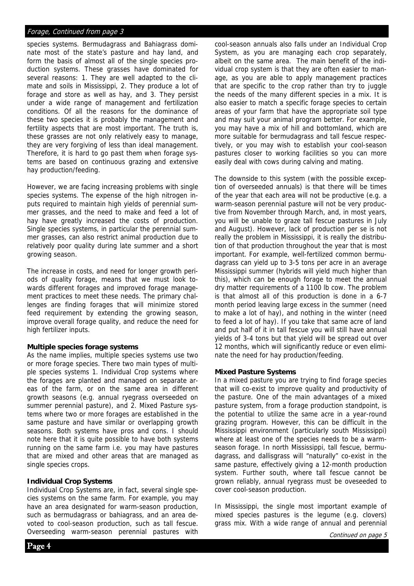#### Forage, Continued from page 3

species systems. Bermudagrass and Bahiagrass dominate most of the state's pasture and hay land, and form the basis of almost all of the single species production systems. These grasses have dominated for several reasons: 1. They are well adapted to the climate and soils in Mississippi, 2. They produce a lot of forage and store as well as hay, and 3. They persist under a wide range of management and fertilization conditions. Of all the reasons for the dominance of these two species it is probably the management and fertility aspects that are most important. The truth is, these grasses are not only relatively easy to manage, they are very forgiving of less than ideal management. Therefore, it is hard to go past them when forage systems are based on continuous grazing and extensive hay production/feeding.

However, we are facing increasing problems with single species systems. The expense of the high nitrogen inputs required to maintain high yields of perennial summer grasses, and the need to make and feed a lot of hay have greatly increased the costs of production. Single species systems, in particular the perennial summer grasses, can also restrict animal production due to relatively poor quality during late summer and a short growing season.

The increase in costs, and need for longer growth periods of quality forage, means that we must look towards different forages and improved forage management practices to meet these needs. The primary challenges are finding forages that will minimize stored feed requirement by extending the growing season, improve overall forage quality, and reduce the need for high fertilizer inputs.

#### **Multiple species forage systems**

As the name implies, multiple species systems use two or more forage species. There two main types of multiple species systems 1. Individual Crop systems where the forages are planted and managed on separate areas of the farm, or on the same area in different growth seasons (e.g. annual ryegrass overseeded on summer perennial pasture), and 2. Mixed Pasture systems where two or more forages are established in the same pasture and have similar or overlapping growth seasons. Both systems have pros and cons. I should note here that it is quite possible to have both systems running on the same farm i.e. you may have pastures that are mixed and other areas that are managed as single species crops.

#### **Individual Crop Systems**

Individual Crop Systems are, in fact, several single species systems on the same farm. For example, you may have an area designated for warm-season production, such as bermudagrass or bahiagrass, and an area devoted to cool-season production, such as tall fescue. Overseeding warm-season perennial pastures with

cool-season annuals also falls under an Individual Crop System, as you are managing each crop separately, albeit on the same area. The main benefit of the individual crop system is that they are often easier to manage, as you are able to apply management practices that are specific to the crop rather than try to juggle the needs of the many different species in a mix. It is also easier to match a specific forage species to certain areas of your farm that have the appropriate soil type and may suit your animal program better. For example, you may have a mix of hill and bottomland, which are more suitable for bermudagrass and tall fescue respectively, or you may wish to establish your cool-season pastures closer to working facilities so you can more easily deal with cows during calving and mating.

The downside to this system (with the possible exception of overseeded annuals) is that there will be times of the year that each area will not be productive (e.g. a warm-season perennial pasture will not be very productive from November through March, and, in most years, you will be unable to graze tall fescue pastures in July and August). However, lack of production per se is not really the problem in Mississippi, it is really the distribution of that production throughout the year that is most important. For example, well-fertilized common bermudagrass can yield up to 3-5 tons per acre in an average Mississippi summer (hybrids will yield much higher than this), which can be enough forage to meet the annual dry matter requirements of a 1100 lb cow. The problem is that almost all of this production is done in a 6-7 month period leaving large excess in the summer (need to make a lot of hay), and nothing in the winter (need to feed a lot of hay). If you take that same acre of land and put half of it in tall fescue you will still have annual yields of 3-4 tons but that yield will be spread out over 12 months, which will significantly reduce or even eliminate the need for hay production/feeding.

#### **Mixed Pasture Systems**

In a mixed pasture you are trying to find forage species that will co-exist to improve quality and productivity of the pasture. One of the main advantages of a mixed pasture system, from a forage production standpoint, is the potential to utilize the same acre in a year-round grazing program. However, this can be difficult in the Mississippi environment (particularly south Mississippi) where at least one of the species needs to be a warmseason forage. In north Mississippi, tall fescue, bermudagrass, and dallisgrass will "naturally" co-exist in the same pasture, effectively giving a 12-month production system. Further south, where tall fescue cannot be grown reliably, annual ryegrass must be oveseeded to cover cool-season production.

In Mississippi, the single most important example of mixed species pastures is the legume (e.g. clovers) grass mix. With a wide range of annual and perennial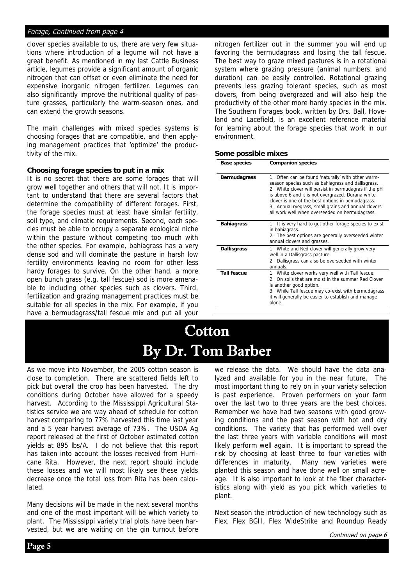#### Forage, Continued from page 4

clover species available to us, there are very few situations where introduction of a legume will not have a great benefit. As mentioned in my last Cattle Business article, legumes provide a significant amount of organic nitrogen that can offset or even eliminate the need for expensive inorganic nitrogen fertilizer. Legumes can also significantly improve the nutritional quality of pasture grasses, particularly the warm-season ones, and can extend the growth seasons.

The main challenges with mixed species systems is choosing forages that are compatible, and then applying management practices that 'optimize' the productivity of the mix.

#### **Choosing forage species to put in a mix**

It is no secret that there are some forages that will grow well together and others that will not. It is important to understand that there are several factors that determine the compatibility of different forages. First, the forage species must at least have similar fertility, soil type, and climatic requirements. Second, each species must be able to occupy a separate ecological niche within the pasture without competing too much with the other species. For example, bahiagrass has a very dense sod and will dominate the pasture in harsh low fertility environments leaving no room for other less hardy forages to survive. On the other hand, a more open bunch grass (e.g. tall fescue) sod is more amenable to including other species such as clovers. Third, fertilization and grazing management practices must be suitable for all species in the mix. For example, if you have a bermudagrass/tall fescue mix and put all your

nitrogen fertilizer out in the summer you will end up favoring the bermudagrass and losing the tall fescue. The best way to graze mixed pastures is in a rotational system where grazing pressure (animal numbers, and duration) can be easily controlled. Rotational grazing prevents less grazing tolerant species, such as most clovers, from being overgrazed and will also help the productivity of the other more hardy species in the mix. The Southern Forages book, written by Drs. Ball, Hoveland and Lacefield, is an excellent reference material for learning about the forage species that work in our environment.

#### **Some possible mixes**

| <b>Base species</b> | <b>Companion species</b>                                                                                                                                                                                                                                                                                                                                                             |
|---------------------|--------------------------------------------------------------------------------------------------------------------------------------------------------------------------------------------------------------------------------------------------------------------------------------------------------------------------------------------------------------------------------------|
| <b>Bermudagrass</b> | 1. Often can be found 'naturally' with other warm-<br>season species such as bahiagrass and dallisgrass.<br>2. White clover will persist in bermudagras if the pH<br>is above 6 and it is not overgrazed. Durana white<br>clover is one of the best options in bemudagrass.<br>3. Annual ryegrass, small grains and annual clovers<br>all work well when overseeded on bermudagrass. |
| <b>Bahiagrass</b>   | 1. It is very hard to get other forage species to exist<br>in bahiagrass.<br>2. The best options are generally overseeded winter<br>annual clovers and grasses.                                                                                                                                                                                                                      |
| <b>Dallisgrass</b>  | 1. White and Red clover will generally grow very<br>well in a Dallisgrass pasture.<br>2. Dallisgrass can also be overseeded with winter<br>annuals.                                                                                                                                                                                                                                  |
| <b>Tall fescue</b>  | 1. White clover works very well with Tall fescue.<br>2. On soils that are moist in the summer Red Clover<br>is another good option.<br>3. While Tall fescue may co-exist with bermudagrass<br>it will generally be easier to establish and manage<br>alone.                                                                                                                          |

### **Cotton** By Dr. Tom Barber

As we move into November, the 2005 cotton season is close to completion. There are scattered fields left to pick but overall the crop has been harvested. The dry conditions during October have allowed for a speedy harvest. According to the Mississippi Agricultural Statistics service we are way ahead of schedule for cotton harvest comparing to 77% harvested this time last year and a 5 year harvest average of 73%. The USDA Ag report released at the first of October estimated cotton yields at 895 lbs/A. I do not believe that this report has taken into account the losses received from Hurricane Rita. However, the next report should include these losses and we will most likely see these yields decrease once the total loss from Rita has been calculated.

Many decisions will be made in the next several months and one of the most important will be which variety to plant. The Mississippi variety trial plots have been harvested, but we are waiting on the gin turnout before

we release the data. We should have the data analyzed and available for you in the near future. The most important thing to rely on in your variety selection is past experience. Proven performers on your farm over the last two to three years are the best choices. Remember we have had two seasons with good growing conditions and the past season with hot and dry conditions. The variety that has performed well over the last three years with variable conditions will most likely perform well again. It is important to spread the risk by choosing at least three to four varieties with differences in maturity. Many new varieties were planted this season and have done well on small acreage. It is also important to look at the fiber characteristics along with yield as you pick which varieties to plant.

Next season the introduction of new technology such as Flex, Flex BGII, Flex WideStrike and Roundup Ready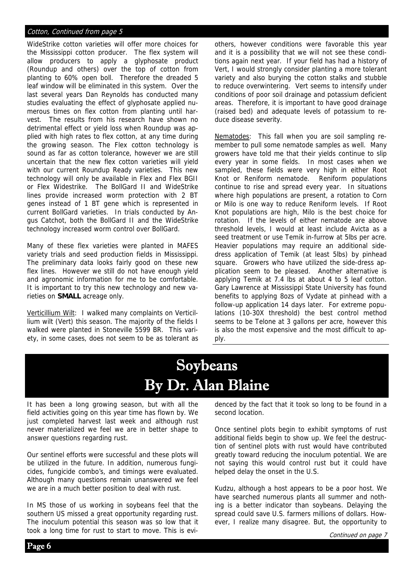#### Cotton, Continued from page 5

WideStrike cotton varieties will offer more choices for the Mississippi cotton producer. The flex system will allow producers to apply a glyphosate product (Roundup and others) over the top of cotton from planting to 60% open boll. Therefore the dreaded 5 leaf window will be eliminated in this system. Over the last several years Dan Reynolds has conducted many studies evaluating the effect of glyphosate applied numerous times on flex cotton from planting until harvest. The results from his research have shown no detrimental effect or yield loss when Roundup was applied with high rates to flex cotton, at any time during the growing season. The Flex cotton technology is sound as far as cotton tolerance, however we are still uncertain that the new flex cotton varieties will yield with our current Roundup Ready varieties. This new technology will only be available in Flex and Flex BGII or Flex Widestrike. The BollGard II and WideStrike lines provide increased worm protection with 2 BT genes instead of 1 BT gene which is represented in current BollGard varieties. In trials conducted by Angus Catchot, both the BollGard II and the WideStrike technology increased worm control over BollGard.

Many of these flex varieties were planted in MAFES variety trials and seed production fields in Mississippi. The preliminary data looks fairly good on these new flex lines. However we still do not have enough yield and agronomic information for me to be comfortable. It is important to try this new technology and new varieties on **SMALL** acreage only.

Verticillium Wilt: I walked many complaints on Verticillium wilt (Vert) this season. The majority of the fields I walked were planted in Stoneville 5599 BR. This variety, in some cases, does not seem to be as tolerant as others, however conditions were favorable this year and it is a possibility that we will not see these conditions again next year. If your field has had a history of Vert, I would strongly consider planting a more tolerant variety and also burying the cotton stalks and stubble to reduce overwintering. Vert seems to intensify under conditions of poor soil drainage and potassium deficient areas. Therefore, it is important to have good drainage (raised bed) and adequate levels of potassium to reduce disease severity.

Nematodes: This fall when you are soil sampling remember to pull some nematode samples as well. Many growers have told me that their yields continue to slip every year in some fields. In most cases when we sampled, these fields were very high in either Root Knot or Reniform nematode. Reniform populations continue to rise and spread every year. In situations where high populations are present, a rotation to Corn or Milo is one way to reduce Reniform levels. If Root Knot populations are high, Milo is the best choice for rotation. If the levels of either nematode are above threshold levels, I would at least include Avicta as a seed treatment or use Temik in-furrow at 5lbs per acre. Heavier populations may require an additional sidedress application of Temik (at least 5lbs) by pinhead square. Growers who have utilized the side-dress application seem to be pleased. Another alternative is applying Temik at 7.4 lbs at about 4 to 5 leaf cotton. Gary Lawrence at Mississippi State University has found benefits to applying 8ozs of Vydate at pinhead with a follow-up application 14 days later. For extreme populations (10-30X threshold) the best control method seems to be Telone at 3 gallons per acre, however this is also the most expensive and the most difficult to apply.

### Soybeans By Dr. Alan Blaine

It has been a long growing season, but with all the field activities going on this year time has flown by. We just completed harvest last week and although rust never materialized we feel we are in better shape to answer questions regarding rust.

Our sentinel efforts were successful and these plots will be utilized in the future. In addition, numerous fungicides, fungicide combo's, and timings were evaluated. Although many questions remain unanswered we feel we are in a much better position to deal with rust.

In MS those of us working in soybeans feel that the southern US missed a great opportunity regarding rust. The inoculum potential this season was so low that it took a long time for rust to start to move. This is evidenced by the fact that it took so long to be found in a second location.

Once sentinel plots begin to exhibit symptoms of rust additional fields begin to show up. We feel the destruction of sentinel plots with rust would have contributed greatly toward reducing the inoculum potential. We are not saying this would control rust but it could have helped delay the onset in the U.S.

Kudzu, although a host appears to be a poor host. We have searched numerous plants all summer and nothing is a better indicator than soybeans. Delaying the spread could save U.S. farmers millions of dollars. However, I realize many disagree. But, the opportunity to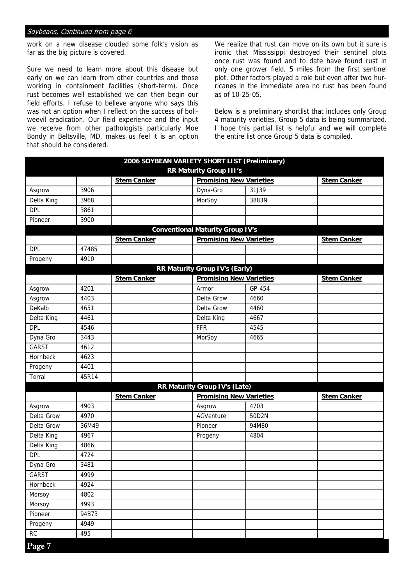#### Soybeans, Continued from page 6

work on a new disease clouded some folk's vision as far as the big picture is covered.

Sure we need to learn more about this disease but early on we can learn from other countries and those working in containment facilities (short-term). Once rust becomes well established we can then begin our field efforts. I refuse to believe anyone who says this was not an option when I reflect on the success of bollweevil eradication. Our field experience and the input we receive from other pathologists particularly Moe Bondy in Beltsville, MD, makes us feel it is an option that should be considered.

We realize that rust can move on its own but it sure is ironic that Mississippi destroyed their sentinel plots once rust was found and to date have found rust in only one grower field, 5 miles from the first sentinel plot. Other factors played a role but even after two hurricanes in the immediate area no rust has been found as of 10-25-05.

Below is a preliminary shortlist that includes only Group 4 maturity varieties. Group 5 data is being summarized. I hope this partial list is helpful and we will complete the entire list once Group 5 data is compiled.

|                          |                                                                  |                    | 2006 SOYBEAN VARIETY SHORT LIST (Preliminary) |        |                    |
|--------------------------|------------------------------------------------------------------|--------------------|-----------------------------------------------|--------|--------------------|
|                          | <b>RR Maturity Group III's</b><br><b>Promising New Varieties</b> |                    |                                               |        |                    |
|                          |                                                                  | <b>Stem Canker</b> | Dyna-Gro                                      |        | <b>Stem Canker</b> |
| Asgrow                   | 3906                                                             |                    |                                               | 31J39  |                    |
| Delta King<br><b>DPL</b> | 3968                                                             |                    | MorSoy                                        | 3883N  |                    |
|                          | 3861                                                             |                    |                                               |        |                    |
| Pioneer                  | 3900                                                             |                    |                                               |        |                    |
|                          |                                                                  |                    | <b>Conventional Maturity Group IV's</b>       |        |                    |
|                          |                                                                  | <b>Stem Canker</b> | <b>Promising New Varieties</b>                |        | <b>Stem Canker</b> |
| <b>DPL</b>               | 47485                                                            |                    |                                               |        |                    |
| Progeny                  | 4910                                                             |                    |                                               |        |                    |
|                          |                                                                  |                    | RR Maturity Group IV's (Early)                |        |                    |
|                          |                                                                  | <b>Stem Canker</b> | <b>Promising New Varieties</b>                |        | <b>Stem Canker</b> |
| Asgrow                   | 4201                                                             |                    | Armor                                         | GP-454 |                    |
| Asgrow                   | 4403                                                             |                    | Delta Grow                                    | 4660   |                    |
| DeKalb                   | 4651                                                             |                    | Delta Grow                                    | 4460   |                    |
| Delta King               | 4461                                                             |                    | Delta King                                    | 4667   |                    |
| <b>DPL</b>               | 4546                                                             |                    | <b>FFR</b>                                    | 4545   |                    |
| Dyna Gro                 | 3443                                                             |                    | MorSoy                                        | 4665   |                    |
| <b>GARST</b>             | 4612                                                             |                    |                                               |        |                    |
| Hornbeck                 | 4623                                                             |                    |                                               |        |                    |
| Progeny                  | 4401                                                             |                    |                                               |        |                    |
| Terral                   | 45R14                                                            |                    |                                               |        |                    |
|                          |                                                                  |                    | RR Maturity Group IV's (Late)                 |        |                    |
|                          |                                                                  | <b>Stem Canker</b> | <b>Promising New Varieties</b>                |        | <b>Stem Canker</b> |
| Asgrow                   | 4903                                                             |                    | Asgrow                                        | 4703   |                    |
| Delta Grow               | 4970                                                             |                    | AGVenture                                     | 50D2N  |                    |
| Delta Grow               | 36M49                                                            |                    | Pioneer                                       | 94M80  |                    |
| Delta King               | 4967                                                             |                    | Progeny                                       | 4804   |                    |
| Delta King               | 4866                                                             |                    |                                               |        |                    |
| <b>DPL</b>               | 4724                                                             |                    |                                               |        |                    |
| Dyna Gro                 | 3481                                                             |                    |                                               |        |                    |
| GARST                    | 4999                                                             |                    |                                               |        |                    |
| Hornbeck                 | 4924                                                             |                    |                                               |        |                    |
| Morsoy                   | 4802                                                             |                    |                                               |        |                    |
| Morsoy                   | 4993                                                             |                    |                                               |        |                    |
| Pioneer                  | 94B73                                                            |                    |                                               |        |                    |
| Progeny                  | 4949                                                             |                    |                                               |        |                    |
| ${\sf RC}$               | 495                                                              |                    |                                               |        |                    |
| Page 7                   |                                                                  |                    |                                               |        |                    |